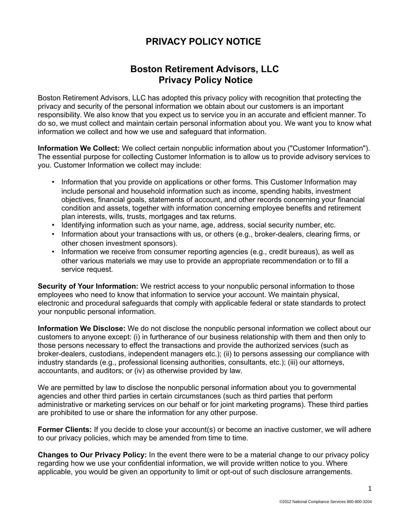## **PRIVACY POLICY NOTICE**

## **Boston Retirement Advisors, LLC Privacy Policy Notice**

Boston Retirement Advisors, LLC has adopted this privacy policy with recognition that protecting the privacy and security of the personal information we obtain about our customers is an important responsibility. We also know that you expect us to service you in an accurate and efficient manner. To do so, we must collect and maintain certain personal information about you. We want you to know what information we collect and how we use and safeguard that information.

**Information We Collect:** We collect certain nonpublic information about you ("Customer Information"). The essential purpose for collecting Customer Information is to allow us to provide advisory services to you. Customer Information we collect may include:

- Information that you provide on applications or other forms. This Customer Information may include personal and household information such as income, spending habits, investment objectives, financial goals, statements of account, and other records concerning your financial condition and assets, together with information concerning employee benefits and retirement plan interests, wills, trusts, mortgages and tax returns.
- Identifying information such as your name, age, address, social security number, etc.
- Information about your transactions with us, or others (e.g., broker-dealers, clearing firms, or other chosen investment sponsors).
- Information we receive from consumer reporting agencies (e.g., credit bureaus), as well as other various materials we may use to provide an appropriate recommendation or to fill a service request.

**Security of Your Information:** We restrict access to your nonpublic personal information to those employees who need to know that information to service your account. We maintain physical, electronic and procedural safeguards that comply with applicable federal or state standards to protect your nonpublic personal information.

**Information We Disclose:** We do not disclose the nonpublic personal information we collect about our customers to anyone except: (i) in furtherance of our business relationship with them and then only to those persons necessary to effect the transactions and provide the authorized services (such as broker-dealers, custodians, independent managers etc.); (ii) to persons assessing our compliance with industry standards (e.g., professional licensing authorities, consultants, etc.); (iii) our attorneys, accountants, and auditors; or (iv) as otherwise provided by law.

We are permitted by law to disclose the nonpublic personal information about you to governmental agencies and other third parties in certain circumstances (such as third parties that perform administrative or marketing services on our behalf or for joint marketing programs). These third parties are prohibited to use or share the information for any other purpose.

**Former Clients:** If you decide to close your account(s) or become an inactive customer, we will adhere to our privacy policies, which may be amended from time to time.

**Changes to Our Privacy Policy:** In the event there were to be a material change to our privacy policy regarding how we use your confidential information, we will provide written notice to you. Where applicable, you would be given an opportunity to limit or opt-out of such disclosure arrangements.